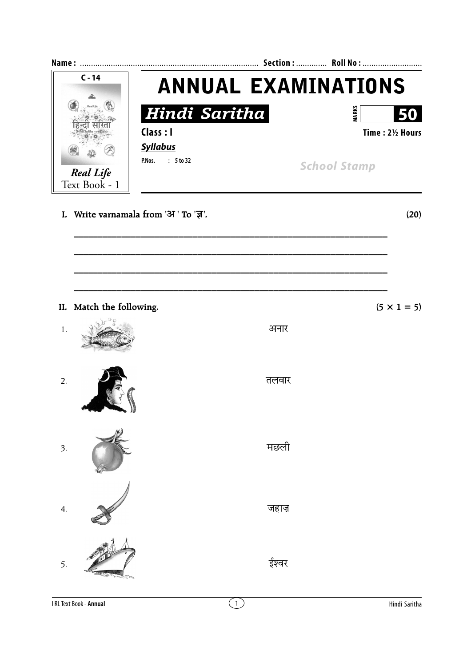